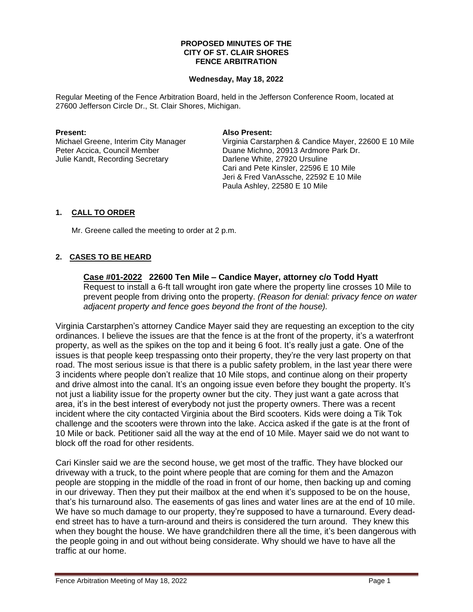## **PROPOSED MINUTES OF THE CITY OF ST. CLAIR SHORES FENCE ARBITRATION**

## **Wednesday, May 18, 2022**

Regular Meeting of the Fence Arbitration Board, held in the Jefferson Conference Room, located at 27600 Jefferson Circle Dr., St. Clair Shores, Michigan.

Julie Kandt, Recording Secretary **Darlene White, 27920 Ursuline** 

## **Present: Also Present:**

Michael Greene, Interim City Manager Virginia Carstarphen & Candice Mayer, 22600 E 10 Mile Peter Accica, Council Member Duane Michno, 20913 Ardmore Park Dr. Cari and Pete Kinsler, 22596 E 10 Mile Jeri & Fred VanAssche, 22592 E 10 Mile Paula Ashley, 22580 E 10 Mile

# **1. CALL TO ORDER**

Mr. Greene called the meeting to order at 2 p.m.

# **2. CASES TO BE HEARD**

**Case #01-2022 22600 Ten Mile – Candice Mayer, attorney c/o Todd Hyatt** Request to install a 6-ft tall wrought iron gate where the property line crosses 10 Mile to prevent people from driving onto the property. *(Reason for denial: privacy fence on water adjacent property and fence goes beyond the front of the house).* 

Virginia Carstarphen's attorney Candice Mayer said they are requesting an exception to the city ordinances. I believe the issues are that the fence is at the front of the property, it's a waterfront property, as well as the spikes on the top and it being 6 foot. It's really just a gate. One of the issues is that people keep trespassing onto their property, they're the very last property on that road. The most serious issue is that there is a public safety problem, in the last year there were 3 incidents where people don't realize that 10 Mile stops, and continue along on their property and drive almost into the canal. It's an ongoing issue even before they bought the property. It's not just a liability issue for the property owner but the city. They just want a gate across that area, it's in the best interest of everybody not just the property owners. There was a recent incident where the city contacted Virginia about the Bird scooters. Kids were doing a Tik Tok challenge and the scooters were thrown into the lake. Accica asked if the gate is at the front of 10 Mile or back. Petitioner said all the way at the end of 10 Mile. Mayer said we do not want to block off the road for other residents.

Cari Kinsler said we are the second house, we get most of the traffic. They have blocked our driveway with a truck, to the point where people that are coming for them and the Amazon people are stopping in the middle of the road in front of our home, then backing up and coming in our driveway. Then they put their mailbox at the end when it's supposed to be on the house, that's his turnaround also. The easements of gas lines and water lines are at the end of 10 mile. We have so much damage to our property, they're supposed to have a turnaround. Every deadend street has to have a turn-around and theirs is considered the turn around. They knew this when they bought the house. We have grandchildren there all the time, it's been dangerous with the people going in and out without being considerate. Why should we have to have all the traffic at our home.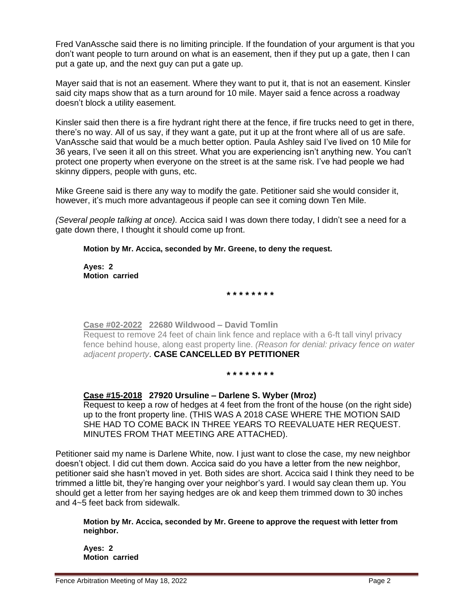Fred VanAssche said there is no limiting principle. If the foundation of your argument is that you don't want people to turn around on what is an easement, then if they put up a gate, then I can put a gate up, and the next guy can put a gate up.

Mayer said that is not an easement. Where they want to put it, that is not an easement. Kinsler said city maps show that as a turn around for 10 mile. Mayer said a fence across a roadway doesn't block a utility easement.

Kinsler said then there is a fire hydrant right there at the fence, if fire trucks need to get in there, there's no way. All of us say, if they want a gate, put it up at the front where all of us are safe. VanAssche said that would be a much better option. Paula Ashley said I've lived on 10 Mile for 36 years, I've seen it all on this street. What you are experiencing isn't anything new. You can't protect one property when everyone on the street is at the same risk. I've had people we had skinny dippers, people with guns, etc.

Mike Greene said is there any way to modify the gate. Petitioner said she would consider it, however, it's much more advantageous if people can see it coming down Ten Mile.

*(Several people talking at once).* Accica said I was down there today, I didn't see a need for a gate down there, I thought it should come up front.

**Motion by Mr. Accica, seconded by Mr. Greene, to deny the request.**

**Ayes: 2 Motion carried**

**\* \* \* \* \* \* \* \***

**Case #02-2022 22680 Wildwood – David Tomlin** Request to remove 24 feet of chain link fence and replace with a 6-ft tall vinyl privacy fence behind house, along east property line. *(Reason for denial: privacy fence on water adjacent property*. **CASE CANCELLED BY PETITIONER** 

**\* \* \* \* \* \* \* \***

# **Case #15-2018 27920 Ursuline – Darlene S. Wyber (Mroz)**

Request to keep a row of hedges at 4 feet from the front of the house (on the right side) up to the front property line. (THIS WAS A 2018 CASE WHERE THE MOTION SAID SHE HAD TO COME BACK IN THREE YEARS TO REEVALUATE HER REQUEST. MINUTES FROM THAT MEETING ARE ATTACHED).

Petitioner said my name is Darlene White, now. I just want to close the case, my new neighbor doesn't object. I did cut them down. Accica said do you have a letter from the new neighbor, petitioner said she hasn't moved in yet. Both sides are short. Accica said I think they need to be trimmed a little bit, they're hanging over your neighbor's yard. I would say clean them up. You should get a letter from her saying hedges are ok and keep them trimmed down to 30 inches and 4~5 feet back from sidewalk.

**Motion by Mr. Accica, seconded by Mr. Greene to approve the request with letter from neighbor.**

**Ayes: 2 Motion carried**